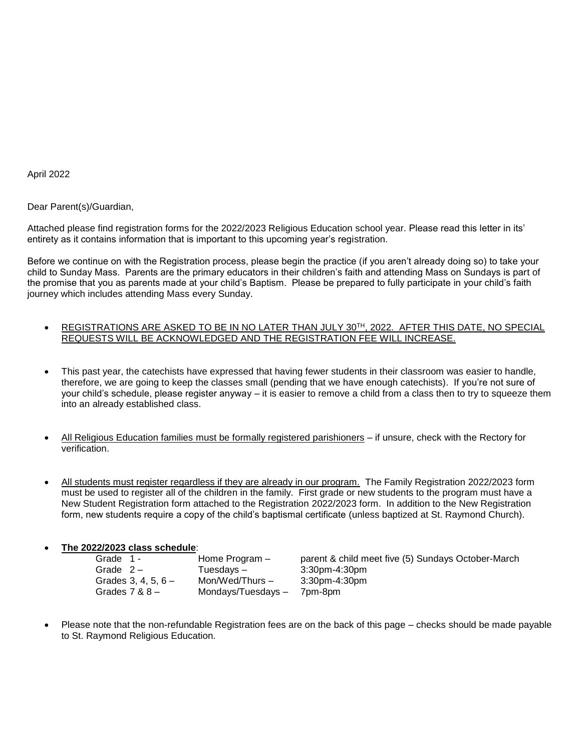April 2022

Dear Parent(s)/Guardian,

Attached please find registration forms for the 2022/2023 Religious Education school year. Please read this letter in its' entirety as it contains information that is important to this upcoming year's registration.

Before we continue on with the Registration process, please begin the practice (if you aren't already doing so) to take your child to Sunday Mass. Parents are the primary educators in their children's faith and attending Mass on Sundays is part of the promise that you as parents made at your child's Baptism. Please be prepared to fully participate in your child's faith journey which includes attending Mass every Sunday.

- REGISTRATIONS ARE ASKED TO BE IN NO LATER THAN JULY 30TH, 2022. AFTER THIS DATE, NO SPECIAL REQUESTS WILL BE ACKNOWLEDGED AND THE REGISTRATION FEE WILL INCREASE.
- This past year, the catechists have expressed that having fewer students in their classroom was easier to handle, therefore, we are going to keep the classes small (pending that we have enough catechists). If you're not sure of your child's schedule, please register anyway – it is easier to remove a child from a class then to try to squeeze them into an already established class.
- All Religious Education families must be formally registered parishioners if unsure, check with the Rectory for verification.
- All students must register regardless if they are already in our program. The Family Registration 2022/2023 form must be used to register all of the children in the family. First grade or new students to the program must have a New Student Registration form attached to the Registration 2022/2023 form. In addition to the New Registration form, new students require a copy of the child's baptismal certificate (unless baptized at St. Raymond Church).

## **The 2022/2023 class schedule**:

| Grade 1 -             | Home Program -    |
|-----------------------|-------------------|
| Grade $2-$            | Tuesdays-         |
| Grades 3, 4, 5, $6 -$ | $Mon/Wed/Thus -$  |
| Grades $7 & 8 -$      | Mondays/Tuesdays- |

parent & child meet five (5) Sundays October-March 3:30pm-4:30pm 3:30pm-4:30pm 7 pm-8pm

 Please note that the non-refundable Registration fees are on the back of this page – checks should be made payable to St. Raymond Religious Education.